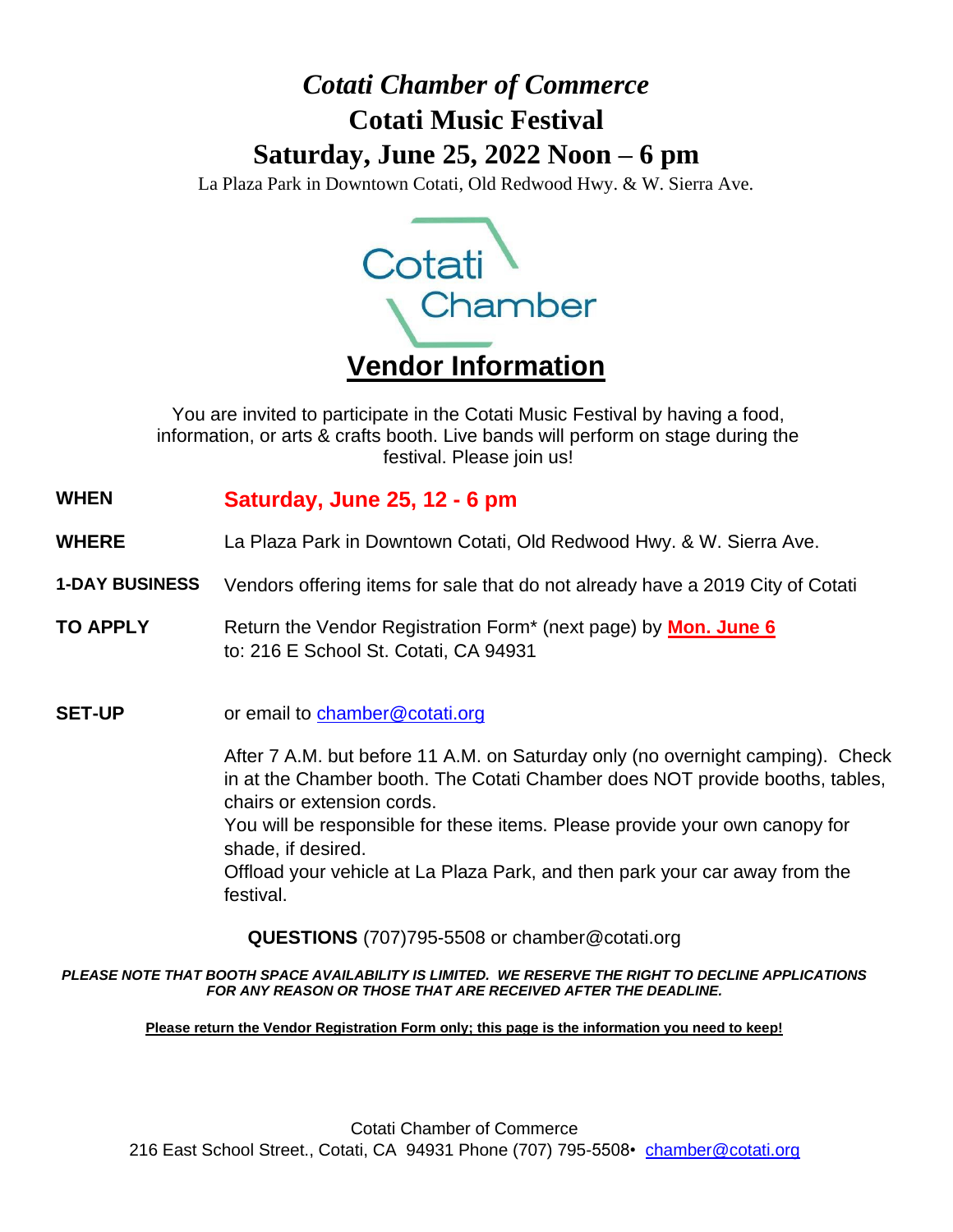# *Cotati Chamber of Commerce* **Cotati Music Festival Saturday, June 25, 2022 Noon – 6 pm**

La Plaza Park in Downtown Cotati, Old Redwood Hwy. & W. Sierra Ave.



You are invited to participate in the Cotati Music Festival by having a food, information, or arts & crafts booth. Live bands will perform on stage during the festival. Please join us!

### **WHEN Saturday, June 25, 12 - 6 pm**

- **WHERE**  La Plaza Park in Downtown Cotati, Old Redwood Hwy. & W. Sierra Ave.
- **1-DAY BUSINESS** Vendors offering items for sale that do not already have a 2019 City of Cotati
- **TO APPLY** Return the Vendor Registration Form<sup>\*</sup> (next page) by **Mon. June 6** to: 216 E School St. Cotati, CA 94931
- **SET-UP** or email to chamber@cotati.org

After 7 A.M. but before 11 A.M. on Saturday only (no overnight camping). Check in at the Chamber booth. The Cotati Chamber does NOT provide booths, tables, chairs or extension cords.

You will be responsible for these items. Please provide your own canopy for shade, if desired.

Offload your vehicle at La Plaza Park, and then park your car away from the festival.

**QUESTIONS** (707)795-5508 or chamber@cotati.org

#### *PLEASE NOTE THAT BOOTH SPACE AVAILABILITY IS LIMITED. WE RESERVE THE RIGHT TO DECLINE APPLICATIONS FOR ANY REASON OR THOSE THAT ARE RECEIVED AFTER THE DEADLINE.*

**Please return the Vendor Registration Form only; this page is the information you need to keep!**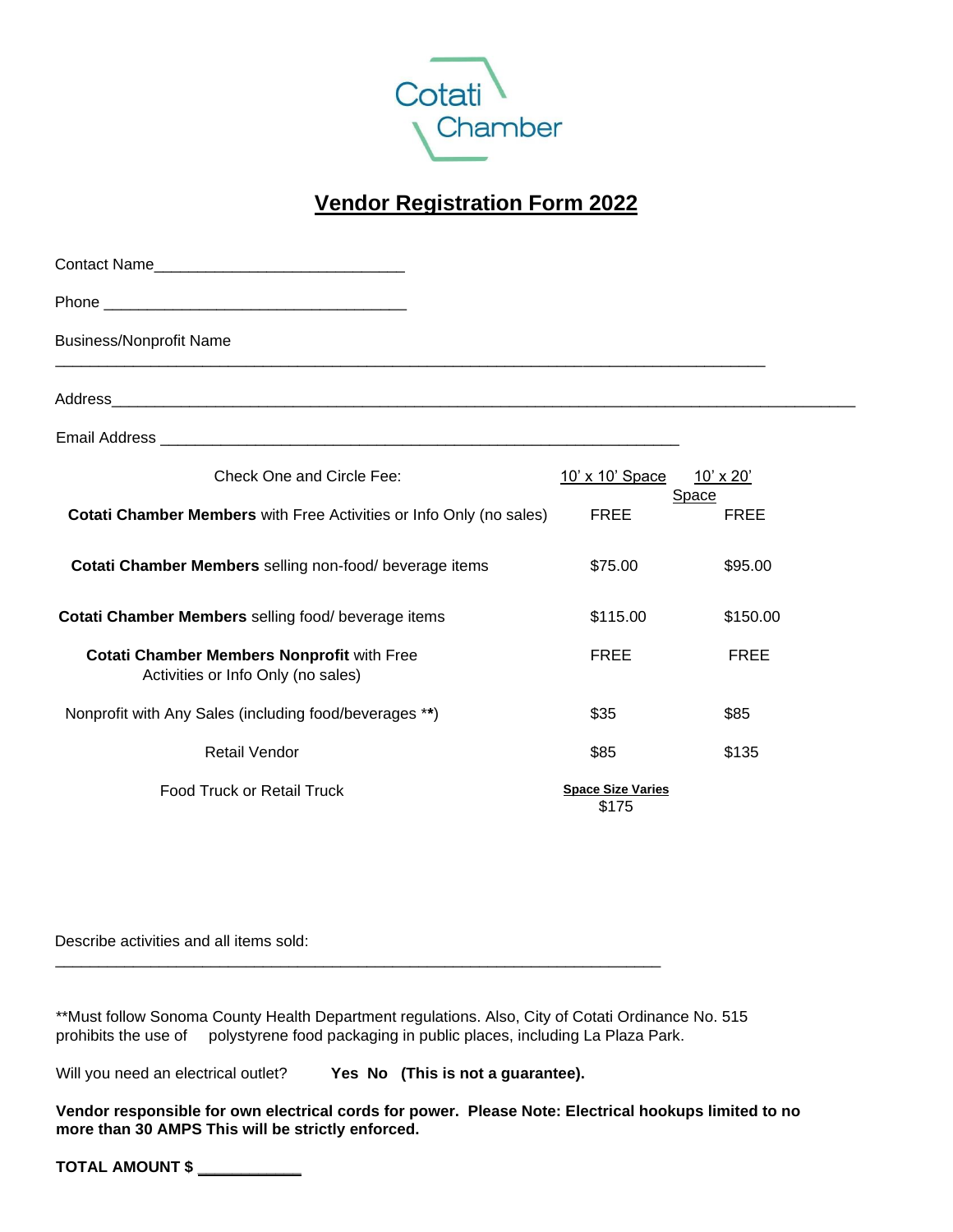

## **Vendor Registration Form 2022**

| Contact Name                                                                            |                                   |                      |
|-----------------------------------------------------------------------------------------|-----------------------------------|----------------------|
|                                                                                         |                                   |                      |
| <b>Business/Nonprofit Name</b>                                                          |                                   |                      |
|                                                                                         |                                   |                      |
|                                                                                         |                                   |                      |
| Check One and Circle Fee:                                                               | 10' x 10' Space                   | 10' x 20'            |
| <b>Cotati Chamber Members</b> with Free Activities or Info Only (no sales)              | <b>FREE</b>                       | Space<br><b>FREE</b> |
| Cotati Chamber Members selling non-food/ beverage items                                 | \$75.00                           | \$95.00              |
| Cotati Chamber Members selling food/ beverage items                                     | \$115.00                          | \$150.00             |
| <b>Cotati Chamber Members Nonprofit with Free</b><br>Activities or Info Only (no sales) | <b>FREE</b>                       | <b>FREE</b>          |
| Nonprofit with Any Sales (including food/beverages **)                                  | \$35                              | \$85                 |
| <b>Retail Vendor</b>                                                                    | \$85                              | \$135                |
| <b>Food Truck or Retail Truck</b>                                                       | <b>Space Size Varies</b><br>\$175 |                      |

Describe activities and all items sold:

\*\*Must follow Sonoma County Health Department regulations. Also, City of Cotati Ordinance No. 515 prohibits the use of polystyrene food packaging in public places, including La Plaza Park.

\_\_\_\_\_\_\_\_\_\_\_\_\_\_\_\_\_\_\_\_\_\_\_\_\_\_\_\_\_\_\_\_\_\_\_\_\_\_\_\_\_\_\_\_\_\_\_\_\_\_\_\_\_\_\_\_\_\_\_\_\_\_\_\_\_\_\_\_\_\_

Will you need an electrical outlet? **Yes No (This is not a guarantee).**

**Vendor responsible for own electrical cords for power. Please Note: Electrical hookups limited to no more than 30 AMPS This will be strictly enforced.**

**TOTAL AMOUNT \$ \_\_\_\_\_\_\_\_\_\_\_\_**